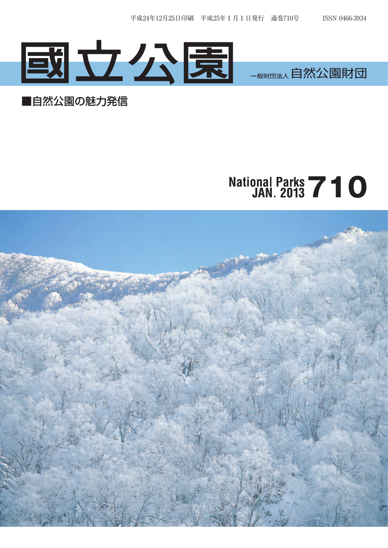

## ■自然公園の魅力発信

## National Parks **710**